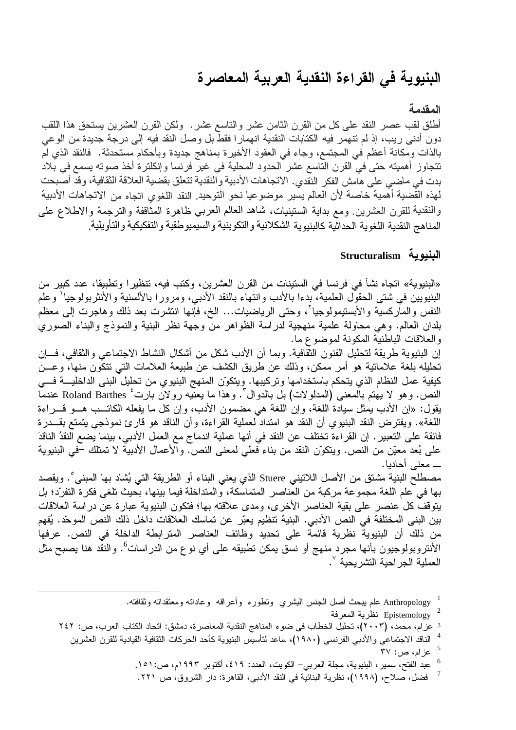# البنيوية فى القراءة النقدية العربية المعاصرة

### المقدمة

أطلق لقب عصـر النقد علـى كل من القرن الثامن عشر والناسع عشر . ولكن القرن العشرين يستحق هذا اللقب دون أدنى ريب، إذ لم تتهمر فيه الكتابات النقدية انهمار ا فقطٌّ بل وصل النقد فيه إلى درجة جديدة من الوعي بالذات ومكانة أعظم في المجتمع، وجاء في العقود الأخيرة بمناهج جديدة وبأحكام مستحدثة. فالنقد الذي لَم تتجاوز أهميته حتى في القرن التّاسع عشر الحدود المحلية في غير فرنسا وإنكلترة أخذ صوته يسمع في بلاد بدت في ماضي على هامش الفكر النقدي. الاتجاهات الأدبية والنقدية تتعلق بقضية العلاقة الثقافية، وقد أصبحت لهذه القضية أهمية خاصة لأن العالم يسير موضوعيا نحو التوحيد. النقد اللغوى اتجاه من الاتجاهات الأدبية والنقدية للقرن العشرين. ومع بداية الستينيات، شاهد العالم العربي ظاهرة المثاقفة والترجمة والاطلاع على المناهج النقدية اللغوية الحداثية كالبنيوية الشكلانية والتكوينية والسيميوطقية والتفكيكية والتأويلية.

# البنيوية Structuralism

«البنيوية» اتجاه نشأ في فرنسا في الستينات من القرن العشرين، وكتب فيه، تنظيرًا وتطبيقًا، عدد كبير من البنيويين في شتى الحقول العلمية، بدءا بالأدب وانتهاء بالنقد الأدبي، ومرور ا بالألسنية والأنثر بولوجيا ٰ وعلم النفس والماركسية والأبستيمولوجيا<sup>٬</sup>، وحتى الرياضيات… الخ، فإنها انتشرت بعد ذلك وهاجرت إلى معظم بلدان العالم. وهي محاولة علمية منهجية لدراسة الظواهر منَّ وجهة نظر البنية والنموذج والبناء الصوري والعلاقات الباطنية المكونة لموضوع ما.

إن البنيوية طريقة لتحليل الفنون الثقافية. وبما أن الأدب شكل من أشكال النشاط الاجتماعي والثقافي، فـــإن تحليله بلغة علاماتية هو أمر ممكن، وذلك عن طريق الكشف عن طبيعة العلامات التي تتكون منها، وعـــن كيفية عمل النظام الذي يتحكم باستخدامها وتركيبها. ويتكوّن المنهج البنيوي من تحليل البني الداخليـــة فـــي النص. وهو لا يهتم بالمعنى (المدلولات) بل بالدوال ". وهذا ما يعنيه رولان بارت ُ Roland Barthes عندما يقول: «إن الأدب يمثل سيادة اللغة، وإن اللغة هي مضمون الأدب، وإن كل ما يفعله الكاتـب هـو قـــراءة اللغة». ويفترض النقد البنيوي أن النقد هو امتداد لعملية القراءة، وأن الناقد هو قارئ نموذجي يتمتع بقــدرة فائقة على التعبير . إن القر اءة تختلف عن النقد في أنها عملية اندماج مع العمل الأدبي، بينما يضع النقدُ الناقدَ على بُعد معيّن من النص. ويتكوّن النقد من بناء فعلى لمعنى النص. والأعمال الأدبية لا تمتلك –في البنيوية ـــ معنى أحاديا.

مصطلح البنية مشتق من الأصل اللاتيني Stuere الذي يعني البناء أو الطريقة التي يُشاد بها المبني°. ويقصد بها في علم اللغة مجموعة مركبة من العناصر المتماسكة، والمتداخلة فيما بينها، بحيث تلغي فكرة التفرّد؛ بل يتوقف كل عنصر على بقية العناصر الأخرى، ومدى علاقته بها؛ فتكون البنيوية عبارة عن دراسة العلاقات بين البني المختلفة في النص الأدبي. البنية تنظيم يعبّر عن تماسك العلاقات داخل ذلك النص الموحّد. يُفهم من ذلك أن البنيوية نظرية قائمة على تحديد وظائف العناصر المترابطة الداخلة في النص. عرفها الأنتروبولوجيون بأنها مجرد منهج أو نسق يمكن تطبيقه على أي نو ع من الدراسات<sup>6</sup>. والنقد هنا يصبح مثل العملية الجراحية التثىريحية ``.

- Anthropology <sup>1</sup> علم ببحث أصل الجنس البشري ونطوره وأعراقه وعاداته ومعنقداته وثقافته.
	- Epistemology نظرية المعرفة
- 3 عزام، محمد، (٢٠٠٣)، تحليل الخطاب في ضوء المناهج النقدية المعاصرة، دمشق: اتحاد الكتاب العرب، ص: ٢٤٢
	- الناقد الاجتماعي والأدبي الفرنسي (١٩٨٠)، ساعد لتأسيس البنيوية كأحد الحركات الثقافية القيادية للقرن العشرين
		- عزام، ص: ٣٧
		- عبد الفتح، سمير، البنيوية، مجلة العربي– الكويت، العدد: ٤١٩، أكتوبر ١٩٩٣م، ص:١٥١.
		- فضل، صلاح، (١٩٩٨)، نظرية البنائية في النقد الأدبي، القاهرة: دار الشروق، ص ٢٢١.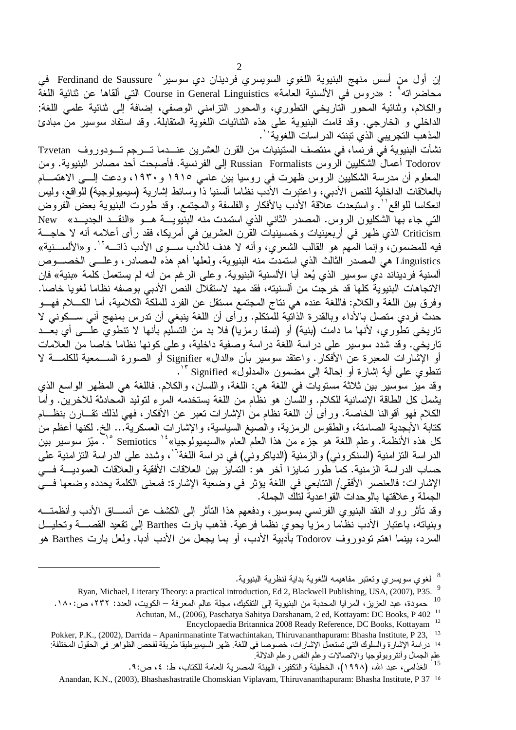إن أول من أسس منهج البنيوية اللغوي السويسري فردينان دي سوسير^ Ferdinand de Saussure في محاضراته° : «دروس في الألسنية العامة» Course in General Linguistics التي ألقاها عن ثنائية اللغّة والكلام، وثنائية المحور الناريخي النطوري، والمحور النزامني الوصفي، إضافة إلى ثنائية علمي اللغة: الداخلي و الخارجي. وقد قامت البنيوية علَّى هذه الثنائيات اللغوية المتقابلة. وقد استفاد سوسير منَّ مبادئ المذهب التجريبي الّذي تبنته الدر اسات اللغوية ``.

نشأت البنيوية فيّ فرنسا، في منتصف الستينيات من القرن العشرين عنـــدما تـــرجم تـــودوروف Tzvetan Todorov أعمال الشكليين الروس Russian Formalists إلى الفرنسية. فأصبحت أحد مصادر البنيوية. ومن المعلوم أن مدرسة الشكليين الروس ظهرت في روسيا بين عامي ١٩١٥ و١٩٣٠، ودعت إلـــى الاهتمـــام بالعلاقات الداخلية للنص الأدبي، واعتبرت الأدب نظاما ألسنيا ذاً وسائط إشارية (سيميولوجية) للواقع، وليس انعكاسا للواقع''. واستبعدت علاقة الأدب بالأفكار والفلسفة والمجتمع. وقد طورت البنيوية بعض الفروض التي جاء بها الشكليون الروس. المصدر الثاني الذي استمدت منه البنيويـــة هـــو «النقـــد الجديـــد» New Criticism الذي ظهر في أربعينيات وخمسينيات القرن العشرين في أمريكا، فقد رأى أعلامه أنه لا حاجــــة فيه للمضمون، وإنما المُّهم هو القالب الشعري، وأنه لا هدف للأدبُّ ســـوى الأدب ذاتـــه<sup>7</sup>'. و«الألســـنية» Linguistics هي المصدر الثالث الذي استمدت منه البنيوية، ولعلها أهم هذه المصادر ، و علـــي الخصـــوص ألسنية فرديناند دي سوسير الذي يُعد أبا الألسنية البنيوية. وعلى الرغم من أنه لم يستعمل كلمة «بنية» فإن الاتجاهات البنيوية كلها قد خرجت من ألسنيته، فقد مهد لاستقلال النص الأدبى بوصفه نظاما لغويا خاصا. وفرق بين اللغة والكلام: فاللغة عنده هي نتاج المجتمع مستقل عن الفرد للملكة الكلامية، أما الكـــلام فهـــو حدث فردي متصل بالأداء وبالقدرة الذاتَّنية للمَّنكلم. ورَّأى أن اللغة بنبغي أن تدرس بمنهج أني ســـكونـي لا تاريخي تطُّوري، لأنها ما دامت (بنية) أو (نسقا رمزيا) فلا بد من التسلُّيم بأنها لا تنطويُّ علَّـــي أي بعَّـــد تاريخي. وقد شدد سوسير على دراسة اللغة دراسة وصفية داخلية، وعلى كونها نظاما خاصا من العلامات أو الإشارات المعبرة عن الأفكار . واعتقد سوسير بأن «الدال» Signifier أو الصورة الســـمعية للكلمـــة لا نتطوي على أية إشارة أو إحالة إلى مضمون «المدلول» Signified "`.

وقد ميَّز سوسير بين ثلاثة مستويات في اللغة هي: اللغة، واللسان، والكلام. فاللغة هي المظهر الواسع الذي يُشمل كل الطاقة الإنسانية للكلام. واللسَّان هو نظَّام من اللغة يستخدمه المرء لنوليد المحادثة للأخرين. وأما الكلام فهو أقوالنا الخاصة. ورأى أن اللغة نظام من الإشارات تعبر عن الأفكار ، فهي لذلك تقـــارن بنظـــام كتابة الأبجدية الصامتة، والطقوس الرمزية، والصيغ السياسية، والإشارات العسكرية... الخ. لكنها أعظم من كل هذه الأنظمة. وعلم اللغة هو جزء من هذا العلم العام «السيميولوجيا» " Semiotics ° . ميّز سوسير بين الدراسة التزامنية (السنكروني) والزمنية (الدياكروني) في دراسة اللغة<sup>٦٦</sup>، وشدد على الدراسة التزامنية على حساب الدراسة الزمنية. كما طور نمايزًا أخر هو: النمايز بين العلاقات الأفقية والعلاقات العموديـــة فـــي الإشارات: فالعنصر الأفقي/ النتابعي في اللغة يؤثر في وضعية الإشارة: فمعنى الكلمة يحدده وضعها فـــي الجملة و علاقتها بالوحدات القو اعدية لتلك الجملة.

وقد تأثَّر رواد النقد البنيوي الفرنسي بسوسير، ودفعهم هذا التأثُّر إلى الكشف عن أنســـاق الأدب وأنظمتـــه وبنياته، باعتبار الأدب نظاما رمزياً يحوى نظما فرعية. فذهب بارت Barthes إلى تقعيد القصــــة وتحليـــل السرد، بينما اهتم تودوروف Todorov بأدبية الأدب، أو بما يجعل من الأدب أدبا. ولعل بارت Barthes هو

<sup>8</sup> لغوي سويسري وتعتبر مفاهيمه اللغوية بداية لنظرية البنيوية.

Encyclopaedia Britannica 2008 Ready Reference, DC Books, Kottayam 12

Ryan, Michael, Literary Theory: a practical introduction, Ed 2, Blackwell Publishing, USA, (2007), P35. 9

<sup>&</sup>lt;sup>10</sup> حمودة، عبد العزيز ، المرايا المحدبة من البنيوية إلى التفكيك، مجلة عالم المعرفة – الكويت، العدد: ٢٣٢، ص:١٨٠.

Achutan, M., (2006), Paschatya Sahitya Darshanam, 2 ed, Kottayam: DC Books, P 402<sup>11</sup>

Pokker, P.K., (2002), Darrida - Apanirmanatinte Tatwachintakan, Thiruvananthapuram: Bhasha Institute, P 23, <sup>13</sup> 14 در اسة الإشارة والسلوك التي تستعمل الإشار ات، خصوصا في اللغة. ظهر السيميوطيقا طريقة لفحص الظواهر في الحقول المختلفة: علم الجمال وأنتروبولوجيا والاتصالات وعلم النفس وعلم الدلالة.

الغذامي، عبد الله، (١٩٩٨)، الخطيئة والتكفير ، الهيئة المصرية العامة للكتاب، ط: ٤، ص:٩.

Anandan, K.N., (2003). Bhashashastratile Chomskian Viplayam, Thiruvananthapuram: Bhasha Institute, P 37 <sup>16</sup>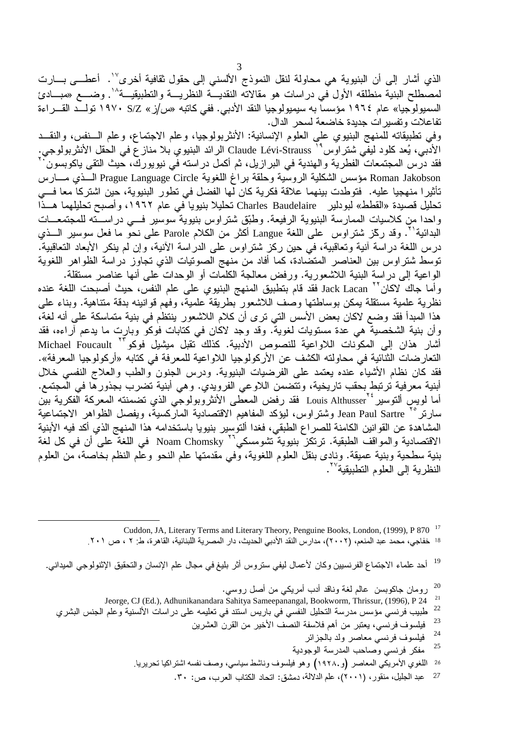الذي أشار إلى أن البنيوية هي محاولة لنقل النموذج الألسني إلى حقول ثقافية أخرى''. أعطـــي بـــارت لمصطلح البنية منطلقه الأول في دراسات هو مقالاته النقديـــة النظريـــة والتطبيقيـــة^`. وضــــع «مبــــادئ السمبولوجيا» عام ١٩٦٤ مؤسسا به سيمبولوجيا النقد الأدبي. ففي كاتبه «س/ز» S/Z ١٩٧٠ تولــد القـــراءة تفاعلات وتفسير ات جديدة خاضعة لسحر الدال.

وفي تطبيقاته للمنهج البنيوي على العلوم الإنسانية: الأنثربولوجيا، وعلم الاجتماع، وعلم السنفس، والنقــد الأدُّبي، يُعد كلود ليفِّي شتراوس " Claude Lévi-Strauss الرائد البنيوي بلا مناز ع في الحقل الأنثربولوجي. فقد درس المجتمعات الفطرية والهندية في البرازيل، ثم أكمل دراسته في نيويورك، حيث التقى ياكوبسون ٰ Roman Jakobson مؤسس الشكلية الروسية وحلقة براغ اللغوية Prague Language Circle الـــذي مـــارس تأثيرا منهجيا عليه. فتوطدت بينهما علاقة فكرية كان لها الفضل في تطور البنيوية، حين اشتركا معا فـــي تحليل قصيدة «القطط» لبودلير Charles Baudelaire تحليلا بنيويا ّفي عام ١٩٦٢، وأصبح تحليلهما هــذًّا واحدا من كلاسيات الممارسة البنيوية الرفيعة. وطبّق شتراوس بنيوية سوسير فسي دراســته للمجتمعــات البدائية''. وقد ركّز شتراوس على اللغة Langue أكثر من الكلام Parole على نحو ما فعل سوسير الـــذي درس اللغة دراسة أنية وتعاقبية، في حين ركز شتراوس على الدراسة الأنية، وإن لم ينكر الأبعاد التعاقبية. توسط شتراوس بين العناصر المتضادة، كما أفاد من منهج الصونيات الذي تجاوز دراسة الظواهر اللغوية الواعية إلى دراسة البنية اللاشعورية. ورفض معالجة الكلمات أو الوحدات على أنها عناصر مستقلة. وأما جاك لاكان<sup>٢٢</sup> Jack Lacan فقد قام بتطبيق المنهج البنيوي على علم النفس، حيث أصبحت اللغة عنده نظرية علمية مستقلة يمكن بوساطتها وصف اللاشعور بطريقة علمية، وفهم قوانينه بدقة متناهية. وبناء على هذا المبدأ فقد وضع لاكان بعض الأسس التي ترى أن كلام اللاشعور ينتظم في بنية متماسكة على أنه لغة، وأن بنية الشخصيةُ هي عدة مستويات لغويةٌ. وقد وجد لاكان في كتابات فُوكوٌ وبارت ما يدعم آراءه، فقد أشار هذان إلى المكونات اللاواعية للنصوص الأدبية. كذلك تقبل ميشيل فوكو<sup>٢٣ Michael Foucault</sup> النعار ضات الثنائية في محاولته الكشف عن الأركولوجيا اللاواعية للمعرفة في كتابه «أركولوجيا المعرفة». فقد كان نظام الأشياءُ عنده يعتمد على الفرضيات البنيوية. ودرس الجنون والطب والعلاج النفسي خلال أبنية معرفية ترتبط بحقب تاريخية، وتتضمن اللاوعي الفرويدي. وهي أبنية تضرب بجذورها في المجتمع. أما لويس ألتوسير Louis Althusser فقد رفض المعطى الأنثروبولوجي الذي تضمنته المعركة الفكرية بين سارنر °` Jean Paul Sartre وشتراوس، ليؤكد المفاهيم الاقتصادية الماركسية، ويفصل الظواهر الاجتماعية المشاهدة عن القوانين الكامنة للصراع الطبقي، فغدا ألتوسير بنيويا باستخدامه هذا المنهج الذي أكد فيه الأبنية الاقتصادية والمواقف الطبقية. ترتكز بنيوية تشومسكي™ Noam Chomsky في اللغة على أن في كل لغة

بنية سطحية وبنية عميقة. ونادي بنقل العلوم اللغوية، وفي مقدمتها علم النحو وعلم النظم بخاصة، من العلوم النظر ية إلى العلوم التطبيقية ٌ ''.

> Cuddon, JA, Literary Terms and Literary Theory, Penguine Books, London, (1999), P 870<sup>17</sup> <sup>18</sup> خفاجي، محمد عبد المنعم، (٢٠٠٢)، مدارس النقد الأدبي الحديث، دار المصرية اللبنانية، القاهرة، ط: ٢ ، ص ٢٠١.

19 أحد علماء الاجتماع الفرنسبين وكان لأعمال ليفي ستروس أثر بليغ في مجال علم الإنسان والتحقيق الإثنولوجي الميداني.

> 20 رومان جاكوبسن عالم لغة وناقد أدب أمريكي من أصل روسي.

- 21 Jeorge, CJ (Ed.), Adhunikanandara Sahitya Sameepanangal, Bookworm, Thrissur, (1996), P 24
- 22 طبيب فرنسي مؤسس مدرسة التحليل النفسي في باريس استند في تعليمه على در اسات الألسنية وعلم الجنس البشري
	- 23 فيلسوف فرنسي، يعتبر من أهم فلاسفة النصف الأخير من القرن العشرين
		- 24 فيلسوف فرنسي معاصر ولد بالجزائر
		- 25 مفكر فرنسي وصاحب المدرسة الوجودية
	- اللغوي الأمريكي المعاصر (و١٩٢٨.) وهو فيلسوف وناشط سياسي، وصف نفسه اشتراكيا تحريريا ِ 26
		- عبد الجليل، منقور، (٢٠٠١)، علم الدلالة، دمشق: اتحاد الكتاب العرب، ص: ٣٠. 27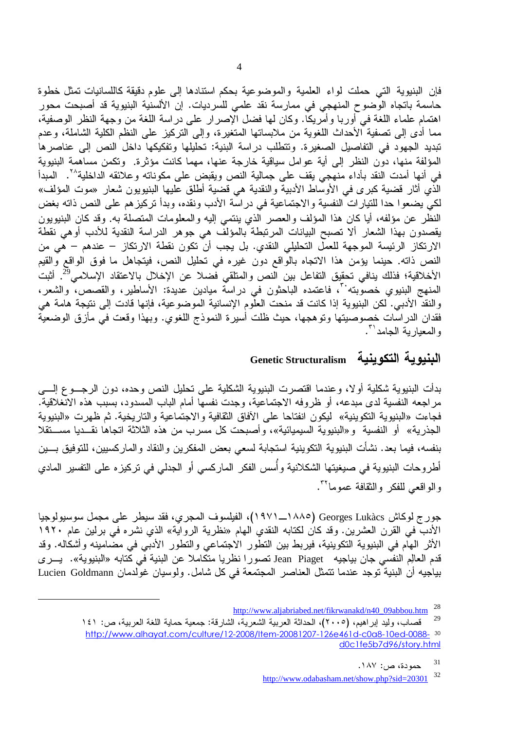فإن البنيوية التي حملت لواء العلمية والموضوعية بحكم استنادها إلى علوم دقيقة كاللسانيات تمثل خطوة حاسمة باتجاه الوّضوح المنهجي في ممارسة نقد علمي للسرديات. إن الألسنية البنيوية قد أصبحت محور اهتمام علماء اللغة في أوربا وأمريكا. وكان لها فضل الإصرار على دراسة اللغة من وجهة النظر الوصفية، مما أدى إلى تصفية الأحداث اللغوية من ملابساتها المتغيرة، وإلى التركيز على النظم الكلية الشاملة، وعدم تبديد الجهود في التفاصيل الصغيرة. وتتطلب دراسة البنية: تحليلها وتفكيكها داخل النص إلى عناصرها المؤلفة منها، دون النظر إلى أية عوامل سياقية خارجة عنها، مهما كانت مؤثرة. وتكمن مساهمة البنبوية في أنها أمدت النقد بأداء منهجي يقف على جمالية النص ويقبض على مكوناته وعلائقه الداخلية<sup>٢٠</sup>. المبدأ الذَّي أثار قضية كبر ى في الأوسَّاط الأدبية والنقدية هي قضية أطلق عليها البنيويون شعار «موت المؤلف» لكي يضعو! حدا للتيار اتَّ النفسية والاجتماعية في در اسَّة الأدب ونقده، وبدأ تركيز هم علي النص ذاته بغض النظر عن مؤلفه، أيا كان هذا المؤلف والعصر الذي ينتمي إليه والمعلومات المتصلة به. وقد كان البنيويون يقصدون بهذا الشعار ألا تصبح البيانات المرتبطة بالمؤلف هي جوهر الدراسة النقدية للأدب أوهي نقطة الارتكاز الرئيسة الموجهة للعمل التحليلي النقدي. بل يجب أن تكون نقطة الارتكاز – عندهم – هي من النص ذاته. حينما يؤمن هذا الانجاه بالواقع دون غيره في نحليل النص، فيتجاهل ما فوق الواقع والقيم الأخلاقية؛ فذلك ينافي تحقيق التفاعل بين النص والمتلقي فضلا عن الإخلال بالاعتقاد الإسلامي<sup>29</sup>. أثبت المنهج البنيوي خصوبته''، فاعتمده الباحثون في دراسة ميادين عديدة: الأساطير، والقصص، والشعر، والنقدّ الأدبي. لكن البنيوية إذا كانت قد منحت العلُّوم الإنسانية الموضوعية، فإنها قادت إلى نتيجة هامة هي فقدان الدراسات خصوصيتها ونوهجها، حيث ظلت أسيرة النموذج اللغوي. وبهذا وقعت في مأزق الوضعية والمعبارية الحامد (".

#### البنبوية التكوينية **Genetic Structuralism**

بدأت البنيوية شكلية أولا، وعندما اقتصرت البنيوية الشكلية على نحليل النص وحده، دون الرجـــوع إلــــي مر اجعه النفسية لدى مبدعه، أو ظروفه الاجتماعية، وجدت نفسها أمام الباب المسدود، بسبب هذه الانغلاقية. فجاءت «البنيوية التكوينية» ليكون انفتاحا على الأفاق الثقافية والاجتماعية والتاريخية. ثم ظهرت «البنيوية الجذرية» أو النفسية و «البنيوية السيميائية»، و أصبحت كل مسرب من هذه الثلاثة اتجاها نقــديا مســـتقلا بنفسه، فيما بعد. نشأت البنيوية التكوينية استجابة لسعى بعض المفكرين والنقاد والماركسيين، للتوفيق بسين أطروحات البنيوية في صيغيتها الشكلانية وأسس الفكر الماركسي أو الجدلمي في تركيزه على التفسير المادي والواقعي للفكر والثقافة عموماً ''.

جورج لوكاش Georges Lukàcs (١٨٨٥هـ ١٩٧١)، الفيلسوف المجرى، فقد سيطر على مجمل سوسيولوجيا الأدبِّ في القرن العشرين. وقد كان لكتابه النقدي الهام «نظرية الرواية» الذي نشره في برلين عام ١٩٢٠ الأثر الهام في البنيوية التكوينية، فيربط بين التطور الاجتماعي والتطور الأدبي في مضامينه وأشكاله. وقد قدم العالِم النفسي جان بياجيه Jean Piaget تصورا نظريا متكاملا عن البنية في كتابه «البنيوية». يــرى بياجيه أن البنية توجد عندما تتمثّل العناصر المجتمعة في كل شامل. ولوسيان غولدمان Lucien Goldmann

31 حمودة، ص: ١٨٧. 32 http://www.odabasham.net/show.php?sid=20301

<sup>28</sup> http://www.aljabriabed.net/fikrwanakd/n40\_09abbou.htm

<sup>29</sup> قصاب، وليد إبر اهيم، (٢٠٠٥)، الحداثة العربية الشعرية، الشارقة: جمعية حماية اللغة العربية، ص: ١٤١ http://www.alhayat.com/culture/12-2008/Item-20081207-126e461d-c0a8-10ed-0088-30 d0c1fe5b7d96/story.html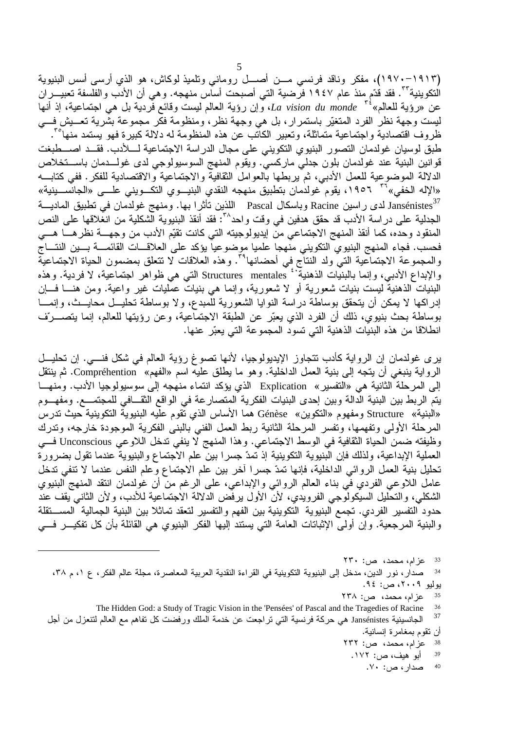(١٩١٣–١٩٧٠)، مفكر وناقد فرنسي مـــن أصــــل روماني وتلميذ لوكاش، هو الذي أرسـي أسس البنيوية التكوينية ً ". فقد قدّم منذ عام ١٩٤٧ فرضية التي أصبحت أساس منهجه. وهي أن الأدب والفلسفة تعبيـــران عن «رؤية للعالم» La vision du monde " وإن رؤية العالم ليست وقائع فردية بل هي اجتماعية، إذ أنها ليست وجهة نظر الفرد المتغيّر باستمرار، بل هي وجهة نظر، ومنظومة فكر مجموعة بشّرية تعـــيش فـــي ظروف اقتصادية واجتماعية متماثلة، وتعبير الكاتب عن هذه المنظومة له دلالة كبيرة فهو يستمد منها<sup>م"</sup>. طبق لوسيان غولدمان التصور البنيوي التكويني على مجال الدراسة الاجتماعية لــــلأدب. فقـــد اصــــطبغت قوانين البنية عند غولدمان بلون جدلي ماركسي. ويقوم المنهج السوسيولوجي لدى غولـــدمان باســــتخلاص الدلالة الموضوعية للعمل الأدبي، ثم يربطها بالعوامل النقافية والاجتماعية والاقتصادية للفكر . ففي كتابـــه «الإله الخفي»<sup>٣٦</sup> ١٩٥٦، يقوم غولدمان بتطبيق منهجه النقدي البنيسوي التكسويني علسي «الجانسسينية» Jansénistes لدى راسين Racine وباسكال Pascal اللذين تأثر ا بها. ومنهج غولدمان في تطبيق الماديـــة الجدلية على دراسة الأدب قد حقق هدفين في وقت واحد^": فقد أنقذ البنيوية الشكلية من انغلاقها على النص المنقود وحده، كما أنقذ المنهج الاجتماعي منّ إيديولوجيته التي كانت تقيّم الأدب من وجهــــة نظرهــــا هــــي فحسب. فجاء المنهج البنيوي التكويني منّهجا علميا موضوعياً يؤكد على العلاقـــات الْقَائَمـــة بــــين النتــــاج<br>والمجموعة الاجتماعية التي ولد النتاج في أحضانها<sup>79</sup>. وهذه العلاقات لا نتعلق بمضمون الحياة الاجتماعية والإبداع الأدبي، وإنما بالبنيَّات الذهنيةٌ ' Structures mentales التي هي ظواهر اجتماعية، لا فردية. وهذه البنيات الذهنية ليست بنيات شعورية أو لا شعورية، وإنما هي بنيات عمليات غير واعية. ومن هنـــا فـــان إدراكها لا يمكن أن يتحقق بوساطة دراسة النوايا الشعورية للمبدع، ولا بوساطة تحليــل محايــث، وإنمـــا بوساطة بحث بنيوي، ذلك أن الفرد الذي يعبّر عن الطبقة الاجتماعية، وعن رؤيتها للعالم، إنما يتصـــرّف انطلاقا من هذه البنيات الذهنية التي تسود المجموعة التي يعبّر عنها.

ير ى غولدمان إن الرواية كأدب تتجاوز الإيديولوجيا، لأنها تصوغ رؤية العالم في شكل فنـــي. إن تحليـــل الرواية ينبغي أن يتجه إلى بنية العمل الداخلية. وهو ما يطلق عليه اسم «الفهم» Compréhention. ثم ينتقل إلى المرحلة الثانية هي «التفسير » Explication الذي يؤكد انتماء منهجه إلى سوسيولوجيا الأدب. ومنهـــا يتم الربط بين البنية الدالة وبين إحدى البنيات الفكرية المتصار عة في الواقع الثقــافي للمجتمـــع. ومفهـــوم «البنية» Structure ومفهوم «التكوين» Génèse هما الأساس الذي نقوم عليه البنيوية التكوينية حيث تدرس المرحلة الأولى وتفهمها، وتفسر المرحلة الثانية ربط العمل الفني بالبنبي الفكرية الموجودة خارجه، وتدرك وظيفته ضمن الحياة الثقافية في الوسط الاجتماعي. وهذا المنهج لا ينفي تدخل اللاوعي Unconscious فــي العملية الإبداعية، ولذلك فإن الَّبنيوية التكوينية إذ تمدّ جسرا بينٌ علم الأجتماع والبنيوية عندما تقول بضرورة تحليل بنية العمل الروائي الداخلية، فإنها تمدّ جسرًا أخر بين علم الاجتماع وعلم النفس عندما لا تنفي تدخل عامل اللاوعي الفردي في بناء العالم الروائي والإبداعي، على الرغم من أن غولدمان انتقد المنهج البنيوي الشكلي، والتحليل السيكولوجي الفرويدي، لأن الأول يرفض الدلالة الاجتماعية للأدب، ولأن الثاني يقف عند حدود التفسير الفردي. تجمع البنيوية التكوينية بين الفهم والتفسير لتعقد تماثلا بين البنية الجمالية المستقلة والبنية المرجعية. وإن أولى الإثباتات العامة التي يستند إليها الفكر البنيوي هي القائلة بأن كل تفكيــر فـــي

صدار ، نور الدين، مدخل إلى البنيوية التكوينية في القراءة النقدية العربية المعاصرة، مجلة عالم الفكر ، ع ١، م ٣٨، 34 يوليو ٢٠٠٩، ص: ٩٤.

عزام، محمد، ص: ٢٣٨

- عزام، محمد، ص: ٢٣٢ 38
- أبو هيف، ص: ١٧٢. 39
	- صدار ، ص: ۷۰. 40

عزام، محمد، ص: ۲۳۰ 33

The Hidden God: a Study of Tragic Vision in the 'Pensées' of Pascal and the Tragedies of Racine 36

<sup>37</sup> الجانسينية Jansénistes هي حركة فرنسية التي تراجعت عن خدمة الملك ورفضت كل تفاهم مع العالم لتنعزل من أجل أن تقوم بمغامرة إنسانية.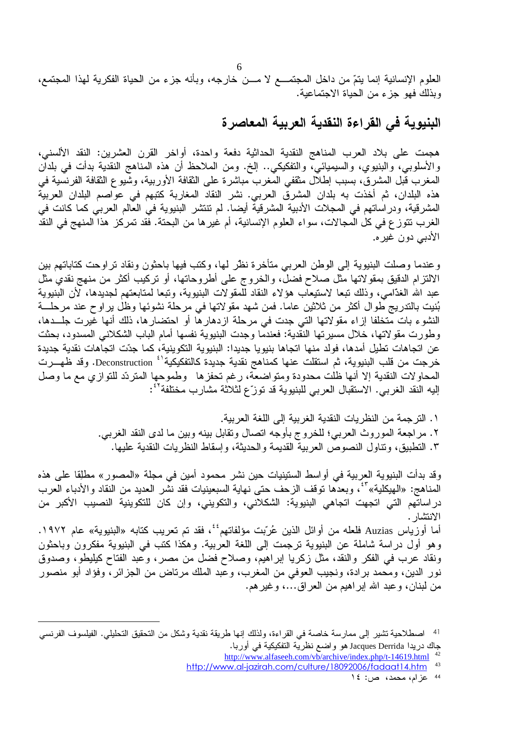العلوم الإنسانية إنما يتمّ من داخل المجتمـــع لا مـــن خارجه، وبأنه جزء من الحياة الفكرية لمهذا المجتمع، وبذلك فهو جز ء من الحياة الاجتماعية.

البنيوية في القراءة النقدية العربية المعاصرة

هجمت على بلاد العرب المناهج النقدية الحداثية دفعة واحدة، أواخر القرن العشرين: النقد الألسني، والأسلوبي، والبنيوي، والسيميائي، والتفكيكي.. إلخ. ومن الملاحظ أن هذه المناهج النقدية بدأت في بلدان المغرب قُبل المشرق، بسبب إطلال مثقفي المُغرب مباشرة على الثقافة الأوربية، وشُيوع الثقافة الفرنسَية في هذه البلدان، ثم أخذت به بلدان المشرقَ العربي. نشر النقاد المغاربة كتبهم في عواصم البلدان العربية المشرقية، ودراساتهم في المجلات الأدبية المشرقية أيضا. لم تنتشر البنيوية في العالم العربي كما كانت في الغرب نتوز ع في كل المجالات، سواء العلوم الإنسانية، أم غير ها من البحتة. فقد تمركز هذا المنهج في النقد الأدبي دون غير ه.

وعندما وصلت البنيوية إلى الوطن العربي متأخرة نظر لها، وكتب فيها باحثون ونقاد نراوحت كتاباتهم بين الالتزام الدقيق بمقولاتها مثل صلاح فضل، والخروج على أطروحاتها، أو تركيب أكثر من منهج نقدي مثل عبد الله الغدّامي، وذلك تبعا لاستيعاب هؤلاء النقاد للمقولات البنيوية، وتبعا لمتابعتهم لجديدها، لأن البنيوية بُنيت بالتدريج طوال أكثر من ثلاثين عاما. فمن شهد مقولاتها في مرحلة نشوئها وظل يراوح عند مرحلــــة النشوء بات مّتخلفا إزاء مقولاتها التي جدت في مرحلة ازدهارها أو احتضارها، ذلك أنها غّيرت جلـــدها، وطورت مقولاتها، خلال مسيرتها النقدية: فعندما وجدت البنيوية نفسها أمام الباب الشكلاني المسدود، بحثت عن اتجاهات نطيل أمدها، فولد منها اتجاها بنيويا جديدا: البنيوية التكوينية، كما جدّت اتجاهات نقدية جديدة خرجت من قلب البنيوية، ثم استقلت عنها كمناهج نقدية جديدة كالتفكيكية<sup>٤١</sup> Deconstruction. وقد ظهـــرت المحاولات النقدية إلا أنها ظلت محدودة ومتواضعة، رغم تحفزها وطموحها المتردّد للتوازي مع ما وصل إليه النقد الغربي. الاستقبال العربي للبنيوية قد توزّع لثلاثة مشارب مختلفة<sup>٤٢</sup>:

> ١. الترجمة من النظريات النقدية الغربية إلى اللغة العربية. ٢. مراجعة الموروث العربي؛ للخروج بأوجه انصال ونقابل بينه وبين ما لدى النقد الغربي. ٣. التطبيق، وتتاول النصوص العربية القديمة والحديثة، وإسقاط النظريات النقدية عليها.

وقد بدأت البنيوية العربية في أواسط الستينيات حين نشر محمود أمين في مجلة «المصور» مطلِقا على هذه المناهج: «الهيكلية» أ°، وبعدها توقف الزحف حتى نهاية السبعينيات فقد نشر العديد من النقاد والأدباء العرب دراساتهم التي اتجهت اتجاهي البنيوية: الشكلاني، والتكويني، وإن كان للتكوينية النصيب الأكبر من الانتشار . أما أوزياس Auzias فلعله من أوائل الذين عُرّبت مؤلفاتهم<sup>ئ ب</sup>، فقد تم تعريب كتابه «البنيوية» عام ١٩٧٢.

وهو أول دراسة شاملة عن البنيوية ترجمت إلى اللغة العربية. وهكذا كتب في البنيوية مفكرون وباحثون ونقاد عرب في الفكر والنقد، مثل زكريا إبراهيم، وصلاح فضل من مصر، وعبد الفتاح كيليطو، وصدوق نور الدين، ومحمد برادة، ونجيب العوفي من المغرب، وعبد الملك مرتاض من الجزائر ، وفؤاد أبو منصور من لبنان، وعبد الله ابر اهيم من العراق...، وغير هم.

اصطلاحية تشير إلى ممارسة خاصة في القراءة، ولذلك إنها طريقة نقدية وشكل من التحقيق التحليلي. الفيلسوف الفرنسي 41 جاك دريدا Jacques Derrida هو واضمع نظرية التفكيكية في أوربا.

http://www.alfaseeh.com/vb/archive/index.php/t-14619.html

http://www.al-jazirah.com/culture/18092006/fadaat14.htm  $43$ 

<sup>44</sup> عزام، محمد، ص: ١٤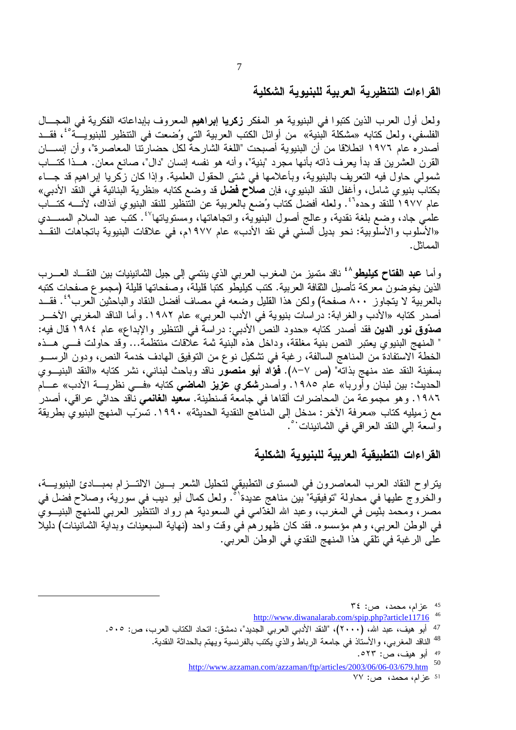القراءات التنظيرية العربية للبنيوية الشكلية

ولعل أول العرب الذين كتبوا في البنيوية هو المفكر زكريا إبراهيم المعروف بإبداعاته الفكرية في المجــال الفلسفي، ولعل كتابه «مشكلة البنية» من أوائل الكتب العربية التي وُضعت في التنظير للبنيويـــة°'، فقــد أصدر ه عام ١٩٧٦ انطلاقا من أن البنيوية أصبحت "اللغة الشارحة لكل حضارتنا المعاصرة"، وأن إنســـان القرن العشرين قد بدأ يعرف ذاته بأنها مجرد "بنية"، وأنه هو نفسه إنسان "دال"، صانع معان. هــذا كتــاب شمولي حاول فيه النعريف بالبنيوية، وبأعلامها في شتى الحقول العلمية. وإذا كان زكريا إبراهيم قد جـــاء بكتاب بنيوي شامل، وأغفل النقد البنيوي، فإن **صلاح فضل** قد وضع كتابه «نظرية البنائية في النقد الأدبي» عام ١٩٧٧ للنقد وحده" . ولعله أفضل كتاب وُضع بالعربية عن التَّنظير للنقد البنيوي آنذاك، لأنــــه كتــــاب علمي جاد، وضع بلغة نقدية، وعالج أصول البنيويّة، واتجاهاتها، ومستوياتها<sup>3</sup>′. كتبّ عبد السلام المســـدي «الأسلوب والأسلوبية: نحو بديل ألسَّني في نقد الأدب» عام ١٩٧٧م، في علاقات البنيوية باتجاهات النقــد المماثل.

وأما **عبد الفتاح كيليطو<sup>^</sup>'** ناقد متميز من المغرب العربي الذي ينتمي إلى جيل الثمانينيات بين النقـــاد العــــرب الذين يخوضون معركة تأصيل الثقافة العربية. كتب كيليطو كتبا قليلة، وصفحاتها قليلة (مجموع صفحات كتبه بالعربية لا يتجاوز ٨٠٠ صفحة) ولكن هذا القليل وضعه في مصاف أفضل النقاد والباحثين العرب<sup>٤٩</sup>. فقــد أصدر كتابه «الأدب والغرابة: دراسات بنيوية في الأدب العربي» عام ١٩٨٢. وأما الناقد المغربي الآخـــر **صدّوق نور الدين ف**قد أصدر كتابه «حدود النص الأدبي: دراسة في التنظير والإبداع» عام ١٩٨٤ قال فيه: " المنهج البنيوي يعتبر النص بنية مغلقة، وداخل هذه البنية ثمة علاقات منتظمة… وقد حاولت فسي هــذه الخطة الاستفادة من المناهج السالفة، رغبة في تشكيل نوع من التوفيق الهادف خدمة النص، ودون الرســـو بسفينة النقد عند منهج بذاته" (ص ٧−٨). فمؤا**د أبو منصور** ناقد وباحث لبناني، نشر كتابه «النقد البنيـــوى الحديث: بين لبنان وأوربا» عام ١٩٨٥. وأصدر**شكري عزيز الماضى** كتابه «فـــى نظريــــة الأدب» عــــام ١٩٨٦. وهو مجموعة من المحاضرات ألقاها في جامعة قسنطينة. **سعيد الغانمي** ناقد حداثي عراقي، أصدر مع زميليه كتاب «معرفة الآخر : مدخل إلى المناهج النقدية الحديثة» ١٩٩٠. تسرّب المنهج البنيوي بطريقة واسعة إلى النقد العراقبي في الثمانينات<sup>6</sup>.

القراءات التطبيقية العريبية للبنيوية الشكلية

يتراوح النقاد العرب المعاصرون في المستوى التطبيقي لتحليل الشعر بسين الالتسزام بمبسادئ البنيويسة، والخروج عليها في محاولة "توفيقية" بين مناهج عديدة' ْ. ولعل كمال أبو ديب في سورية، وصلاح فضل في مصر، ومحمد بنَّيس في المغرب، وعبد الله الغدَّامي في السعودية هم رواد النَّنظير العربي للمنهج البنيـــوي في الوطن العربي، وهم مؤسسوه. فقد كان ظهورهم في وقت واحد (نهاية السبعينات وبداية الثمانينات) دليلا على الرغبة في تلقى هذا المنهج النقدي في الوطن العربي.

<sup>45</sup> عزام، محمد، ص: ٣٤

http://www.diwanalarab.com/spip.php?article11716 46

49 أبو هيف، ص: ٥٢٣.

50 http://www.azzaman.com/azzaman/ftp/articles/2003/06/06-03/679.htm

51 عزام، محمد، ص: ٧٧

<sup>47</sup> أبو هيف، عبد الله، (٢٠٠٠)، "النقد الأدبي العربي الجديد"، دمشق: اتحاد الكتاب العرب، ص: ٥٠٥.

<sup>&</sup>lt;sup>48</sup> الناقد المغربي، والأستاذ في جامعة الرباط والذي يكتب بالفرنسية ويهتم بالحداثة النقدية.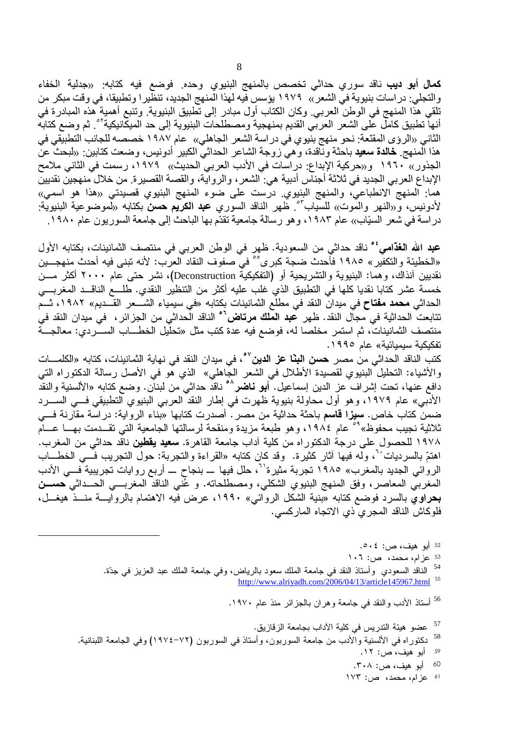**كمال أبو ديب** ناقد سوري حداثي تخصص بالمنهج البنيوي وحده. فوضع فيه كتابه: «جدلية الخفاء والتجلي: در اسات بنيوية في الشعر » ١٩٧٩ يؤسس فيه لهذا المنهج الجديد، تنظير ا وتطبيقا، في وقت مبكر من تلقى هذا المنهج في الوطن العربي. وكان الكتاب أول مبادر إلى تطبيق البنيوية. وتنبع أهمية هذه المبادرة في أنها تطبيق كامل على الشعر العربي القديم بمنهجية ومصطلحات البنيوية إلى حد الميكانيكية<sup>٥٢</sup>. ثم وضع كتابه الثاني «الروْي المقنّعة: نحو منهج بنيوي في در اسة الشعر الجاهلي» عام ١٩٨٧ خصصه للجانب التطبيقي في هذا المنهج فطالدة سعيد باحثة وناّقدة، وهيّ زوجة الشاعر الحداثيّ الكبير أدونيس، وضعت كتابين: «لبحث عن الجذور» ١٩٦٠ و«حركية الإبداع: دراسات في الأدب العربي الحديث» ١٩٧٩، رسمت في الثاني ملامح الإبداع العربي الجديد في ثلاثة أجناس أدبية هي: الشعر ، والرواية، والقصة القصيرة. من خلال منهجين نقديين هما: المنهج الانطباعي، والمنهج البنيوي. درست على ضوء المنهج البنيوي قصيدتي «هذا هو اسمي» لأدونيس، و«النـهر والموت» للسياب<sup>5</sup>°. ظهر النـاقد السوري **عبد الكريم حسن** بكتابه «لموضوعية البنيوية: در اسة في شعر السيّاب›› عام ١٩٨٣، و هو رسالة جامعية تقدّم بها الباحث إلى جامعة السوريون عام ١٩٨٠.

**عبد الله الغذامي<sup>؛ م</sup> ناقد حداثي من السعودية. ظهر في الوطن العربي في منتصف الثمانينات، بكتابه الأول** «الخطيئة والتكفير » ١٩٨٥ فأحدث ضجة كبر ى°° في صفوف النقاد العرب: لأنه تبني فيه أحدث منهجـــين نقديين أنذاك، وهما: البنيوية والتشريحية أو (التفكيكية Deconstruction)، نشر حتى عام ٢٠٠٠ أكثر مـــن خمسة عشر كتابا نقديا كلها في التطبيق الذي غلب عليه أكثر من التنظير النقدي. طلــــع الناقـــد المغربــــي الحداثي **محمد مفتاح** في ميدان النقد في مطلع الثمانينات بكتابه «في سيمياء الشـــعر القـــديم» ١٩٨٢، ثـــم نتابعت الحداثية في مجال النقد. ظهر **عبد الملك مرتاض<sup>٢</sup>٬ ال**ناقد الحداثي من الجز ائر ، في ميدان النقد في منتصف الثمانينات، ثم استمر مخلصا له، فوضع فيه عدة كتب مثل «تحلَّيل الخطـــاب الســـّـردي: معالجـــة تفكيكية سيميائية» عام ١٩٩٥.

كتب الناقد الحداثي من مصر. **حسن البنّا عز الدين<sup>07</sup>، ف**ي ميدان النقد في نهاية الثمانينات، كتابه «الكلمـــات والأشياء: النحليل البنيوي لقصيدة الأطلال في الشعر الجاهلي» الذي هو في الأصل رسالة الدكتوراه التي دافع عنها، تحت إشراف عز الدين إسماعيل. أ**بو نـاضر<sup>^</sup>°** نـاقد حداثـي من لبنـان. وضـع كتابـه «الألسنية والنقد الأدبي» عام ١٩٧٩، وهو أول محاولة بنيوية ظهرت في إطار النقد العربي البنيوي التطبيقي فسي الســـرد ضمن كتاب خاص. **سيزا قاسم** باحثة حداثية من مصر . أصدرت كتابها «بناء الرواية: دراسة مقارنة فـــي ثلاثية نجيب محفوظ»<sup>09</sup> عام ١٩٨٤، وهو طبعة مزيدة ومنقحة لرسالتها الجامعية التي تقــدمت بهـــا عـــام ١٩٧٨ للحصول على درجة الدكتوراه من كلية آداب جامعة القاهرة. **سعيد يقطين** ناقد حداثي من المغرب. اهتمَّ بالسرديات``، وله فيها أثار كثيرة. وقد كان كتابه «القراءة والتجربة: حول التجريب فـــي الخطـــاب الروائي الجديد بالمغرب» ١٩٨٥ تجربة مثيرة'<sup>٦</sup>، حلل فيها ـــ بنجاح ــــ أربع روايات تجريبية فـــي الأدب المغربي المعاصر، وفق المنهج البنيوي الشكلي، ومصطلحاته. و عُني الناقد المغربـــي الحـــداثي حســـن بحراوي بالسرد فوضع كتابه «بنية الشكل الروائبي» ١٩٩٠، عرض فيه الاهتمام بالروايسة منسذ هيغسل، فلوكاش الناقد المجري ذي الاتجاه الماركسي.

> <sup>52</sup> أبو هيف، ص: ٥٠٤. 53 عزام، محمد، ص: ١٠٦ <sup>54</sup> الناقد السعودي وأستاذ النقد في جامعة الملك سعود بالرياض، وفي جامعة الملك عبد العزيز في جدّة. http://www.alriyadh.com/2006/04/13/article145967.html 55

> > <sup>56</sup> أستاذ الأدب والنقد في جامعة وهران بالجزائر منذ عام ١٩٧٠.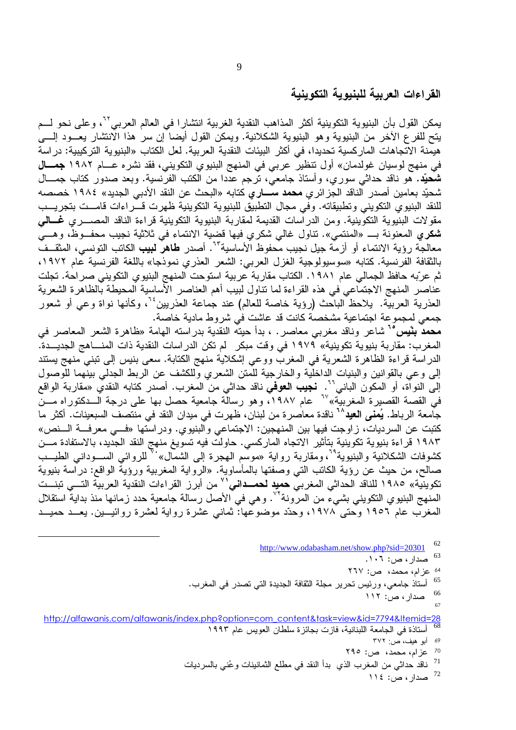# القراءات العربية للبنيوية التكوينية

يمكن القول بأن البنيوية التكوينية أكثر المذاهب النقدية الغربية انتشارا في العالم العربي<sup>71</sup>، وعلى نحو لــم يتح للفرع الأخر من البنيوية وهو البنيوية الشكلانية. ويمكن القول أيضا إن سر هذا الانتشار يعـــود إلــــي هيمنة الاتجاهات الماركسية تحديدا، في أكثر البيئات النقدية العربية. لعل الكتاب «البنيوية التركيبية: در اسة في منهج لوسيان غولدمان» أول تنظير عربي في المنهج البنيوي التكويني، فقد نشره عـــام ١٩٨٢ **جمـــال شُحيَّد.** هو ناقد حداثـي سوري، وأستاذ جامعـي، ترجم عددا من الكتب الفرنسية. وبعد صدور كتاب جمـــال شحيّد بعامين أصدر الناقد الجز ائر ي **محمد ســــار ي** كتابه «البحث عن النقد الأدبي الجديد» ١٩٨٤ خصصه للنقد البنيوي التكويني وتطبيقاته. وفي مجال التطبيق للبنيوية التكوينية ظهرت قـــراءات قامـــت بتجريـــب مقولات البنيوية التكوينية. ومن الدراسات القديمة لمقاربة البنيوية التكوينية قراءة الناقد المصــــري **غــــالـي** شكري المعنونة بـــ «المنتمي». تناول غالبي شكري فيها قضية الانتماء في ثلاثية نجيب محفــوظ، وهـــي معالجة رؤية الانتماء أو أزمة جيل نجيب محفوظ الأساسية<sup>7</sup>". أصدر **طاهر لبيب** الكاتب التونسي، المث<u>قــف</u>ّ بالثقافة الفرنسية. كتابه «سوسيولوجية الغزل العربي: الشعر العذري نموذجا» باللغة الفرنسية عام ١٩٧٢، ثم عرّبه حافظ الجمالي عام ١٩٨١. الكتاب مقاربة عربية استوحت المنهج البنيوي التكويني صر احة. تجلت عناصر المنهج الاجتماعي في هذه القراءة لما تناول لبيب أهم العناصر الأساسية المحيطة بالظاهرة الشعرية العذرية العربيَّة. يلاحظ الباحث (رؤية خاصة للعالم) عند جُماعة العذريين°`، وكأنها نواة وعي أو شعور جمعي لمجموعة اجتماعية مشخصة كانت قد عاشت في شروط مادية خاصة.

**محمد بنَّيس "** شاعر وناقد مغربي معاصر . ، بدأ حيته النقدية بدر استه الهامة «ظاهرة الشعر المعاصر في المغرب: مقاربة بنيوية تكوينية» ١٩٧٩ في وقت مبكر لم تكن الدراسات النقدية ذات المنـــاهج الجديـــدة. الدراسة قراءة الظاهرة الشعرية في المغرب ووعي إشكلاية منهج الكتابة. سعى بنيس إلى تبني منهج يستند إلى وعي بالقوانين والبنيات الداخلية والخارجية للمتن الشعري وللكشف عن الربط الجدلمي بينهما للوصول ء ف آنواة، أو المكون الباني<sup>71</sup>. **نجيب العوّفي** ناقد حداثي من المغرب. أصدر كتابه النقدي «مقاربة الواقعّ فَى القصَّة القصيرة المغربيَّة»'`` عام ١٩٨٧.ّ، وهو رسالَّة جامعية حصل بها على درجة الـــدكتوراه مـــنّ جامعة الرباط. **يُمنى العيد**^` ناقدة معاصرة من لبنان، ظهرت في ميدان النقد في منتصف السبعينات. أكثر ما كتبت عن السرديات، زاوجت فيها بين المنهجين: الاجتماعي والبنيوي. ودراستها «فـــي معرفـــة الـــنص» ١٩٨٣ قراءة بنيوية تكوينية بتأثير الاتجاه الماركسي. حاولت فيه تسويغ منهج النقد الجديد، بالاستفادة مــن كشوفات الشكلانية والبنيوية<sup>٢٩</sup>، ومقاربة رواية «موسم الـهجرة إلـي الشمال»<sup>٧٠</sup> للروائـي الســـودانـي الطيـــب صالح، من حيث عن رؤية الكاتب التي وصفتها بالمأساوية. «الرواية المغربية ورؤية الواقع: دراسة بنيوية نكوينية» ١٩٨٥ للناقد الحداثي المغربيّ حميدٍ لحمــدانـي<sup>57</sup> من أبرز القراءات النقدية العربية التـــى تبنــت المنهج البنيوي النكويني بشيء من المرونة<sup>٧٧</sup>. وهي في الأصل رسالة جامعية حدد زمانها منذ بدايةً استقلال المغرب عام ١٩٥٦ وحتى ١٩٧٨، وحدَّد موضوعها: ثماني عشرة رواية لعشرة روائيـــين. يعـــد حميـــد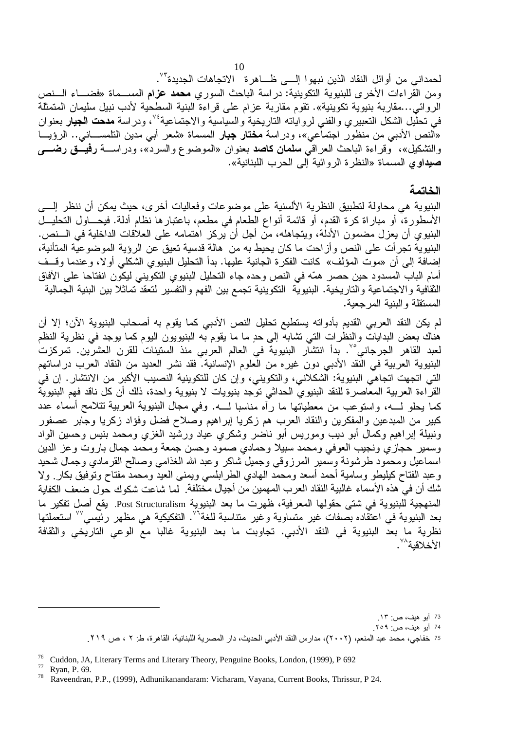لحمداني من أوائل النقاد الذين نبهوا إلـــي ظـــاهرة الاتجاهات الجديدة<sup>7</sup>٬ ومن القر اءات الأخر ي للبنيوية التكوينية: در اسة الباحث السور ي محمد عزام المســماة «فضـــاء الــنص الروائي...مقاربة بنيوية تكوينية». تقوم مقاربة عزام على قراءة البنية السطحية لأدب نبيل سليمان المتمثلة في تحلُّيل الشكل التعبيري والفني لرواياته التاريخية والسياسية والاجتماعية<sup>،</sup>٬٬ ودراسة **مدحت الجيار** بعنوان «النص الأدبي من منظور اجتماعي»، ودراسة **مختار جبار** المسماة «شعر أبي مدين التلمســـانـي.. الرؤيـــا والتشكيل»، وقراءة الباحث العراقبي **سلمان كاصد** بعنوان «الموضوع والسرد»، ودراســـة **رفيـــق رضــــ**ي **صيداوي ال**مسماة «النظرة الروائية إلى الحرب اللبنانية».

# الخاتمة

البنيوية هي محاولة لتطبيق النظرية الألسنية على موضوعات وفعاليات أخرى، حيث يمكن أن ننظر إلسي الأسطورة، أو مباراة كرة القدم، أو قائمة أنواع الطعام في مطعم، باعتبارها نظام أدلة. فيحـــاول التحليــل البنيوي أن يعزل مضمون الأدلَّة، ويتجاهله، منَّ أجل أن يركز اهتمامه على العلاقات الداخلية في الـــنص. البنيوية تجر أت على النص وأز احت ما كان يحيط به من هالة قدسية تعيق عن الرؤية الموضوعية المتأنية، إضافة إلى أن «موت المؤلف» كانت الفكرة الجانية عليها. بدأ التحليل البنيوي الشكلي أولا، وعندما وقف أمام الباب المسدود حين حصـر همّه في النص وحده جاء النحليل البنيوي النكويني ليكون انفتاحا على الأفاق الثقافية والاجتماعية والتاريخية. البنيوية التكوينية تجمع بين الفهم والتفسير لتعقد تماثلا بين البنية الجمالية المستقلة والبنية المرجعية.

لم يكن النقد العربي القديم بأدواته يستطيع تحليل النص الأدبي كما يقوم به أصحاب البنيوية الآن؛ إلا أن هناك بعض البدايات والنظرات التي تشابه إلى حدٍ ما ما يقوم به البنيويون اليوم كما يوجد في نظرية النظم لعبد القاهر الجرجاني°`. بدأ انتشار البنيوية في العالم العربي منذ الستينات للقرن العشرين. تمركزت البنيوية العربية في النقد الأدبي دون غيره من العلوم الإنسانية. فقد نشر العديد من النقاد العرب در اساتهم التي اتجهت اتجاهي البنيوية: الشكلاني، والتكويني، وإن كان للتكوينية النصيب الأكبر من الانتشار . إن في القراءة العربية المعاصرة للنقد البنيوي الحداثي توجد بنيويات لا بنيوية واحدة، ذلك أن كل ناقد فهم البنيوية كما يحلو لـــه، واستوعب من معطياتها ما رأه مناسبا لــــه. وفي مجال البنيوية العربية تتلامح أسماء عدد كبير من المبدعين والمفكرين والنقاد العرب هم زكريا إبراهيم وصلاح فضل وفؤاد زكريا وجابر عصفور ونبيلة إبراهيم وكمال أبو ديب وموريس أبو ناضر وشكري عياد ورشيد الغزي ومحمد بنيس وحسين الواد وسمير حجازي ونجيب العوفي ومحمد سبيلا وحمادي صمود وحسن جمعة ومحمد جمال باروت وعز الدين اسماعيل ومحمود طرشونة وسمير المرزوقي وجميل شاكر وعبد الله الغذامي وصالح القرمادي وجمال شحيد وعبد الفتاح كيليطو وسامية أحمد أسعد ومحمد الـهادي الطرابلسي ويمنى العيد ومحمد مفتاح وتوفيق بكار ولا شك أن في هذه الأسماء غالبية النقاد العرب المهمين من أجيال مختلفة. لما شاعت شكوك حول ضعف الكفاية المنهجية للبنيوية في شتى حقولها المعرفية، ظهرت ما بعد البنيوية Post Structuralism. يقع أصل تفكير ما بعد البنيوية في اعتقّاده بصفات غير متساوية وغير متناسبة للغة<sup>7</sup>′. التفكيكية هي مظهر رئيسي°<sup>∨</sup> استعملتها نظرية ما بعد البنيوية في النقد الأدبي. تجاوبت ما بعد البنيوية غالبا مع الوعي التاريخي والثقافة الأخلاقية^``.

<sup>73</sup> أبو هيف، ص: ١٣. 74 أبو هيف، ص: ٢٥٩.

<sup>75</sup> خفاجي، محمد عبد المنعم، (٢٠٠٢)، مدارس النقد الأدبي الحديث، دار المصرية اللبنانية، القاهرة، ط: ٢ ، ص ٢١٩.

<sup>76</sup> Cuddon, JA, Literary Terms and Literary Theory, Penguine Books, London, (1999), P 692

Ryan, P. 69.

Raveendran, P.P., (1999), Adhunikanandaram: Vicharam, Vayana, Current Books, Thrissur, P 24.